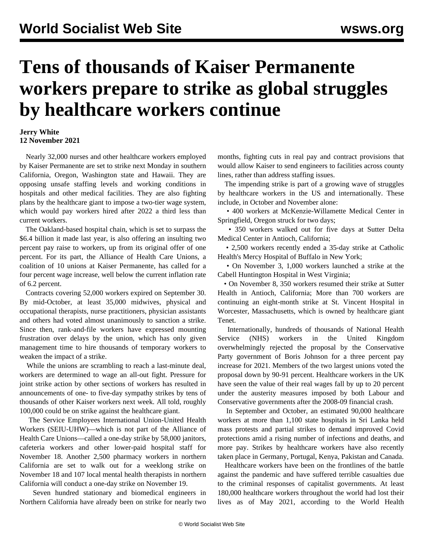## **Tens of thousands of Kaiser Permanente workers prepare to strike as global struggles by healthcare workers continue**

## **Jerry White 12 November 2021**

 Nearly 32,000 nurses and other healthcare workers employed by Kaiser Permanente are set to strike next Monday in southern California, Oregon, Washington state and Hawaii. They are opposing unsafe staffing levels and working conditions in hospitals and other medical facilities. They are also fighting plans by the healthcare giant to impose a two-tier wage system, which would pay workers hired after 2022 a third less than current workers.

 The Oakland-based hospital chain, which is set to surpass the \$6.4 billion it made last year, is also offering an insulting two percent pay raise to workers, up from its original offer of one percent. For its part, the Alliance of Health Care Unions, a coalition of 10 unions at Kaiser Permanente, has called for a four percent wage increase, well below the current inflation rate of 6.2 percent.

 Contracts covering 52,000 workers expired on September 30. By mid-October, at least 35,000 midwives, physical and occupational therapists, nurse practitioners, physician assistants and others had voted almost unanimously to sanction a strike. Since then, rank-and-file workers have expressed mounting frustration over delays by the union, which has only given management time to hire thousands of temporary workers to weaken the impact of a strike.

 While the unions are scrambling to reach a last-minute deal, workers are determined to wage an all-out fight. Pressure for joint strike action by other sections of workers has resulted in announcements of one- to five-day sympathy strikes by tens of thousands of other Kaiser workers next week. All told, roughly 100,000 could be on strike against the healthcare giant.

 The Service Employees International Union-United Health Workers (SEIU-UHW)—which is not part of the Alliance of Health Care Unions—called a one-day strike by 58,000 janitors, cafeteria workers and other lower-paid hospital staff for November 18. Another 2,500 pharmacy workers in northern California are set to walk out for a weeklong strike on November 18 and 107 local mental health therapists in northern California will conduct a one-day strike on November 19.

 Seven hundred stationary and biomedical engineers in Northern California have already been on strike for nearly two

months, fighting cuts in real pay and contract provisions that would allow Kaiser to send engineers to facilities across county lines, rather than address staffing issues.

 The impending strike is part of a growing wave of struggles by healthcare workers in the US and internationally. These include, in October and November alone:

 • 400 workers at McKenzie-Willamette Medical Center in Springfield, Oregon struck for two days;

 • 350 workers walked out for five days at Sutter Delta Medical Center in Antioch, California;

 • 2,500 workers recently ended a 35-day strike at Catholic Health's Mercy Hospital of Buffalo in New York;

 • On November 3, 1,000 workers launched a strike at the Cabell Huntington Hospital in West Virginia;

 • On November 8, 350 workers resumed their strike at Sutter Health in Antioch, California; More than 700 workers are continuing an eight-month strike at St. Vincent Hospital in Worcester, Massachusetts, which is owned by healthcare giant Tenet.

 Internationally, hundreds of thousands of National Health Service (NHS) workers in the United Kingdom overwhelmingly rejected the proposal by the Conservative Party government of Boris Johnson for a three percent pay increase for 2021. Members of the two largest unions voted the proposal down by 90-91 percent. Healthcare workers in the UK have seen the value of their real wages fall by up to 20 percent under the austerity measures imposed by both Labour and Conservative governments after the 2008-09 financial crash.

 In September and October, an estimated 90,000 healthcare workers at more than 1,100 state hospitals in Sri Lanka held mass protests and partial strikes to demand improved Covid protections amid a rising number of infections and deaths, and more pay. Strikes by healthcare workers have also recently taken place in Germany, Portugal, Kenya, Pakistan and Canada.

 Healthcare workers have been on the frontlines of the battle against the pandemic and have suffered terrible casualties due to the criminal responses of capitalist governments. At least 180,000 healthcare workers throughout the world had lost their lives as of May 2021, according to the World Health